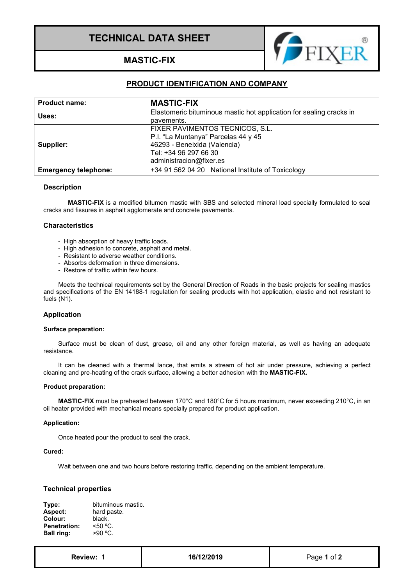# **TECHNICAL DATA SHEET**



**MASTIC-FIX**

# **PRODUCT IDENTIFICATION AND COMPANY**

| <b>Product name:</b>        | <b>MASTIC-FIX</b>                                                   |
|-----------------------------|---------------------------------------------------------------------|
| Uses:                       | Elastomeric bituminous mastic hot application for sealing cracks in |
|                             | pavements.                                                          |
| Supplier:                   | FIXER PAVIMENTOS TECNICOS, S.L.                                     |
|                             | P.I. "La Muntanya" Parcelas 44 y 45                                 |
|                             | 46293 - Beneixida (Valencia)                                        |
|                             | Tel: +34 96 297 66 30                                               |
|                             | administracion@fixer.es                                             |
| <b>Emergency telephone:</b> | +34 91 562 04 20 National Institute of Toxicology                   |

## **Description**

**MASTIC-FIX** is a modified bitumen mastic with SBS and selected mineral load specially formulated to seal cracks and fissures in asphalt agglomerate and concrete pavements.

# **Characteristics**

- High absorption of heavy traffic loads.
- High adhesion to concrete, asphalt and metal.
- Resistant to adverse weather conditions.
- Absorbs deformation in three dimensions.
- Restore of traffic within few hours.

Meets the technical requirements set by the General Direction of Roads in the basic projects for sealing mastics and specifications of the EN 14188-1 regulation for sealing products with hot application, elastic and not resistant to fuels (N1).

# **Application**

#### **Surface preparation:**

Surface must be clean of dust, grease, oil and any other foreign material, as well as having an adequate resistance.

It can be cleaned with a thermal lance, that emits a stream of hot air under pressure, achieving a perfect cleaning and pre-heating of the crack surface, allowing a better adhesion with the **MASTIC-FIX.**

#### **Product preparation:**

**MASTIC-FIX** must be preheated between 170°C and 180°C for 5 hours maximum, never exceeding 210°C, in an oil heater provided with mechanical means specially prepared for product application.

#### **Application:**

Once heated pour the product to seal the crack.

#### **Cured:**

Wait between one and two hours before restoring traffic, depending on the ambient temperature.

#### **Technical properties**

| bituminous mastic. |
|--------------------|
| hard paste.        |
| black.             |
| < 50 °C            |
| $>90^{\circ}$ C.   |
|                    |

| <b>Review:</b> |  |
|----------------|--|
|----------------|--|